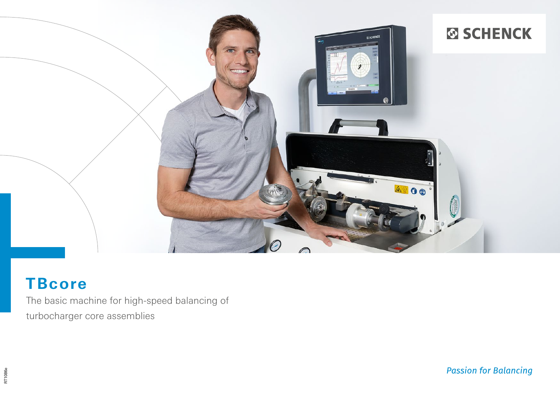

# **TBcore**

The basic machine for high-speed balancing of turbocharger core assemblies

RT1086e

**Passion for Balancing**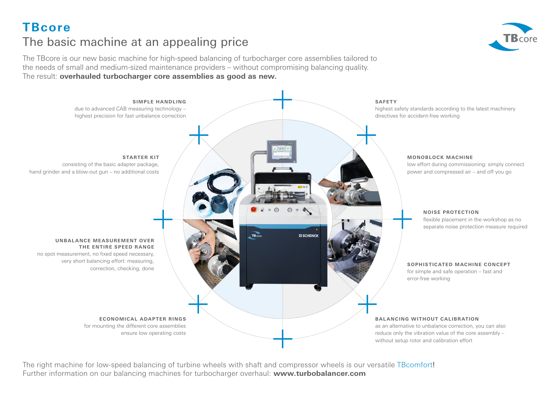**TBcore**

# The basic machine at an appealing price

The TBcore is our new basic machine for high-speed balancing of turbocharger core assemblies tailored to the needs of small and medium-sized maintenance providers – without compromising balancing quality. The result: **overhauled turbocharger core assemblies as good as new.**



The right machine for low-speed balancing of turbine wheels with shaft and compressor wheels is our versatile TBcomfort! Further information on our balancing machines for turbocharger overhaul: **www.turbobalancer.com**